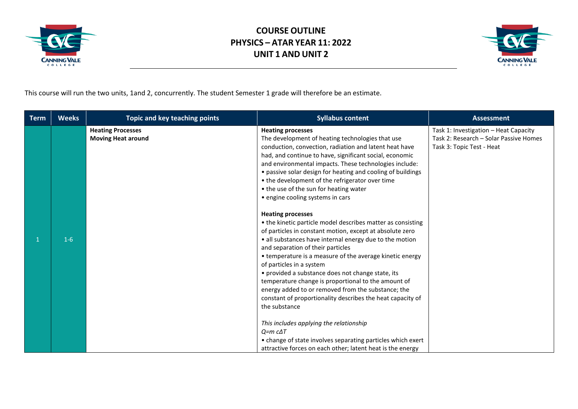



This course will run the two units, 1and 2, concurrently. The student Semester 1 grade will therefore be an estimate.

| <b>Term</b> | <b>Weeks</b> | <b>Topic and key teaching points</b>                  | <b>Syllabus content</b>                                                                                                                                                                                                                                                                                                                                                                                                                                                                                                                                                                                                                 | <b>Assessment</b>                                                                                            |
|-------------|--------------|-------------------------------------------------------|-----------------------------------------------------------------------------------------------------------------------------------------------------------------------------------------------------------------------------------------------------------------------------------------------------------------------------------------------------------------------------------------------------------------------------------------------------------------------------------------------------------------------------------------------------------------------------------------------------------------------------------------|--------------------------------------------------------------------------------------------------------------|
|             |              | <b>Heating Processes</b><br><b>Moving Heat around</b> | <b>Heating processes</b><br>The development of heating technologies that use<br>conduction, convection, radiation and latent heat have<br>had, and continue to have, significant social, economic<br>and environmental impacts. These technologies include:<br>• passive solar design for heating and cooling of buildings<br>• the development of the refrigerator over time<br>• the use of the sun for heating water<br>• engine cooling systems in cars                                                                                                                                                                             | Task 1: Investigation - Heat Capacity<br>Task 2: Research - Solar Passive Homes<br>Task 3: Topic Test - Heat |
|             | $1-6$        |                                                       | <b>Heating processes</b><br>• the kinetic particle model describes matter as consisting<br>of particles in constant motion, except at absolute zero<br>• all substances have internal energy due to the motion<br>and separation of their particles<br>• temperature is a measure of the average kinetic energy<br>of particles in a system<br>• provided a substance does not change state, its<br>temperature change is proportional to the amount of<br>energy added to or removed from the substance; the<br>constant of proportionality describes the heat capacity of<br>the substance<br>This includes applying the relationship |                                                                                                              |
|             |              |                                                       | $Q=$ m $c\Delta T$<br>• change of state involves separating particles which exert<br>attractive forces on each other; latent heat is the energy                                                                                                                                                                                                                                                                                                                                                                                                                                                                                         |                                                                                                              |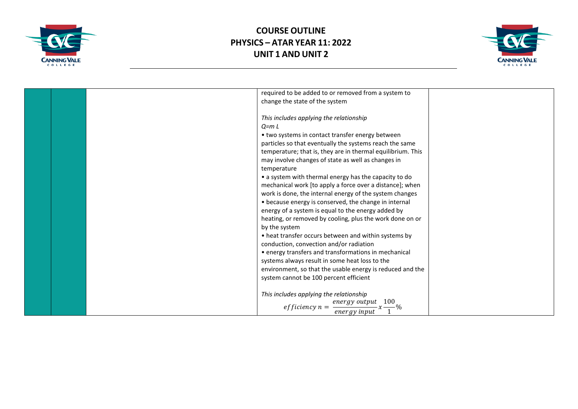



|  | required to be added to or removed from a system to         |  |
|--|-------------------------------------------------------------|--|
|  | change the state of the system                              |  |
|  |                                                             |  |
|  | This includes applying the relationship                     |  |
|  | $Q = m L$                                                   |  |
|  | • two systems in contact transfer energy between            |  |
|  | particles so that eventually the systems reach the same     |  |
|  | temperature; that is, they are in thermal equilibrium. This |  |
|  | may involve changes of state as well as changes in          |  |
|  | temperature                                                 |  |
|  | • a system with thermal energy has the capacity to do       |  |
|  | mechanical work [to apply a force over a distance]; when    |  |
|  | work is done, the internal energy of the system changes     |  |
|  | • because energy is conserved, the change in internal       |  |
|  | energy of a system is equal to the energy added by          |  |
|  | heating, or removed by cooling, plus the work done on or    |  |
|  | by the system                                               |  |
|  | • heat transfer occurs between and within systems by        |  |
|  | conduction, convection and/or radiation                     |  |
|  | • energy transfers and transformations in mechanical        |  |
|  | systems always result in some heat loss to the              |  |
|  |                                                             |  |
|  | environment, so that the usable energy is reduced and the   |  |
|  | system cannot be 100 percent efficient                      |  |
|  |                                                             |  |
|  | This includes applying the relationship<br>100              |  |
|  | energy output<br>$efficiency n =$                           |  |
|  | energy input                                                |  |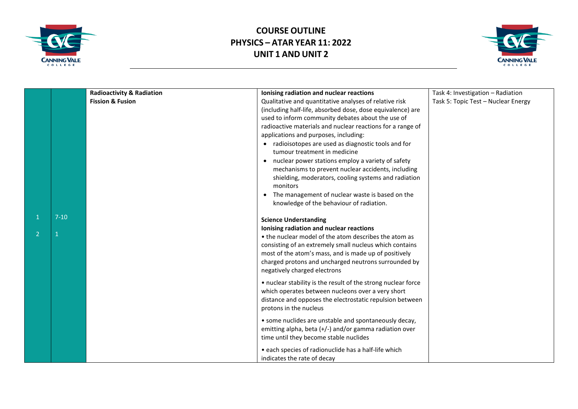



|                |          | <b>Radioactivity &amp; Radiation</b> | Ionising radiation and nuclear reactions                                                                                                                                                                                                                                                                      | Task 4: Investigation - Radiation   |
|----------------|----------|--------------------------------------|---------------------------------------------------------------------------------------------------------------------------------------------------------------------------------------------------------------------------------------------------------------------------------------------------------------|-------------------------------------|
|                |          | <b>Fission &amp; Fusion</b>          | Qualitative and quantitative analyses of relative risk<br>(including half-life, absorbed dose, dose equivalence) are<br>used to inform community debates about the use of<br>radioactive materials and nuclear reactions for a range of<br>applications and purposes, including:                              | Task 5: Topic Test - Nuclear Energy |
|                |          |                                      | • radioisotopes are used as diagnostic tools and for<br>tumour treatment in medicine<br>• nuclear power stations employ a variety of safety<br>mechanisms to prevent nuclear accidents, including<br>shielding, moderators, cooling systems and radiation<br>monitors                                         |                                     |
|                |          |                                      | • The management of nuclear waste is based on the<br>knowledge of the behaviour of radiation.                                                                                                                                                                                                                 |                                     |
|                | $7 - 10$ |                                      | <b>Science Understanding</b>                                                                                                                                                                                                                                                                                  |                                     |
| $\overline{2}$ |          |                                      | Ionising radiation and nuclear reactions<br>• the nuclear model of the atom describes the atom as<br>consisting of an extremely small nucleus which contains<br>most of the atom's mass, and is made up of positively<br>charged protons and uncharged neutrons surrounded by<br>negatively charged electrons |                                     |
|                |          |                                      | • nuclear stability is the result of the strong nuclear force<br>which operates between nucleons over a very short<br>distance and opposes the electrostatic repulsion between<br>protons in the nucleus                                                                                                      |                                     |
|                |          |                                      | • some nuclides are unstable and spontaneously decay,<br>emitting alpha, beta (+/-) and/or gamma radiation over<br>time until they become stable nuclides                                                                                                                                                     |                                     |
|                |          |                                      | · each species of radionuclide has a half-life which<br>indicates the rate of decay                                                                                                                                                                                                                           |                                     |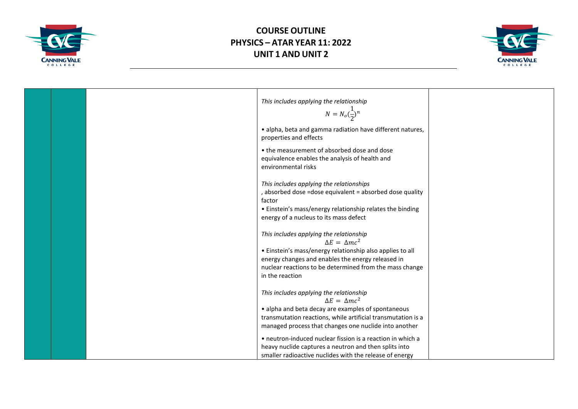



|  | This includes applying the relationship<br>$N = N_o(\frac{1}{2})^n$                                                                                                                                                                                                 |  |
|--|---------------------------------------------------------------------------------------------------------------------------------------------------------------------------------------------------------------------------------------------------------------------|--|
|  | · alpha, beta and gamma radiation have different natures,<br>properties and effects                                                                                                                                                                                 |  |
|  | • the measurement of absorbed dose and dose<br>equivalence enables the analysis of health and<br>environmental risks                                                                                                                                                |  |
|  | This includes applying the relationships<br>, absorbed dose =dose equivalent = absorbed dose quality<br>factor<br>• Einstein's mass/energy relationship relates the binding<br>energy of a nucleus to its mass defect                                               |  |
|  | This includes applying the relationship<br>$\Delta E = \Delta mc^2$<br>• Einstein's mass/energy relationship also applies to all<br>energy changes and enables the energy released in<br>nuclear reactions to be determined from the mass change<br>in the reaction |  |
|  | This includes applying the relationship<br>$\Delta E = \Delta mc^2$<br>• alpha and beta decay are examples of spontaneous<br>transmutation reactions, while artificial transmutation is a<br>managed process that changes one nuclide into another                  |  |
|  | • neutron-induced nuclear fission is a reaction in which a<br>heavy nuclide captures a neutron and then splits into<br>smaller radioactive nuclides with the release of energy                                                                                      |  |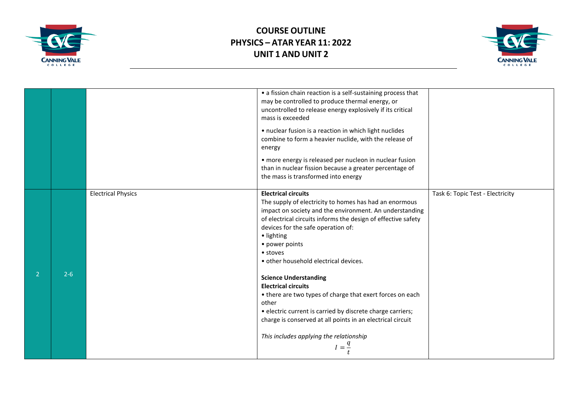



|         |                           | • a fission chain reaction is a self-sustaining process that<br>may be controlled to produce thermal energy, or<br>uncontrolled to release energy explosively if its critical<br>mass is exceeded                                                                                                                                           |                                  |
|---------|---------------------------|---------------------------------------------------------------------------------------------------------------------------------------------------------------------------------------------------------------------------------------------------------------------------------------------------------------------------------------------|----------------------------------|
|         |                           | • nuclear fusion is a reaction in which light nuclides<br>combine to form a heavier nuclide, with the release of<br>energy                                                                                                                                                                                                                  |                                  |
|         |                           | • more energy is released per nucleon in nuclear fusion<br>than in nuclear fission because a greater percentage of<br>the mass is transformed into energy                                                                                                                                                                                   |                                  |
|         | <b>Electrical Physics</b> | <b>Electrical circuits</b><br>The supply of electricity to homes has had an enormous<br>impact on society and the environment. An understanding<br>of electrical circuits informs the design of effective safety<br>devices for the safe operation of:<br>· lighting<br>• power points<br>• stoves<br>• other household electrical devices. | Task 6: Topic Test - Electricity |
| $2 - 6$ |                           | <b>Science Understanding</b><br><b>Electrical circuits</b><br>• there are two types of charge that exert forces on each<br>other<br>• electric current is carried by discrete charge carriers;<br>charge is conserved at all points in an electrical circuit<br>This includes applying the relationship                                     |                                  |
|         |                           | $I=\frac{q}{q}$                                                                                                                                                                                                                                                                                                                             |                                  |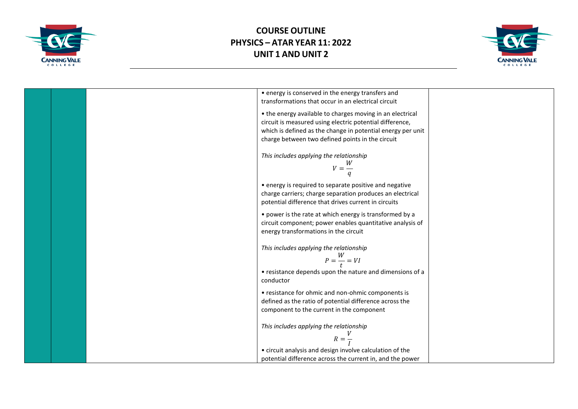



| • energy is conserved in the energy transfers and           |  |
|-------------------------------------------------------------|--|
| transformations that occur in an electrical circuit         |  |
| • the energy available to charges moving in an electrical   |  |
| circuit is measured using electric potential difference,    |  |
| which is defined as the change in potential energy per unit |  |
| charge between two defined points in the circuit            |  |
|                                                             |  |
| This includes applying the relationship                     |  |
|                                                             |  |
| $V = \frac{W}{A}$                                           |  |
|                                                             |  |
| • energy is required to separate positive and negative      |  |
| charge carriers; charge separation produces an electrical   |  |
| potential difference that drives current in circuits        |  |
|                                                             |  |
| • power is the rate at which energy is transformed by a     |  |
| circuit component; power enables quantitative analysis of   |  |
| energy transformations in the circuit                       |  |
|                                                             |  |
| This includes applying the relationship                     |  |
| $P = \frac{W}{t} = VI$                                      |  |
|                                                             |  |
| • resistance depends upon the nature and dimensions of a    |  |
| conductor                                                   |  |
| • resistance for ohmic and non-ohmic components is          |  |
| defined as the ratio of potential difference across the     |  |
| component to the current in the component                   |  |
|                                                             |  |
| This includes applying the relationship                     |  |
|                                                             |  |
| $R=\frac{1}{I}$                                             |  |
| • circuit analysis and design involve calculation of the    |  |
| potential difference across the current in, and the power   |  |
|                                                             |  |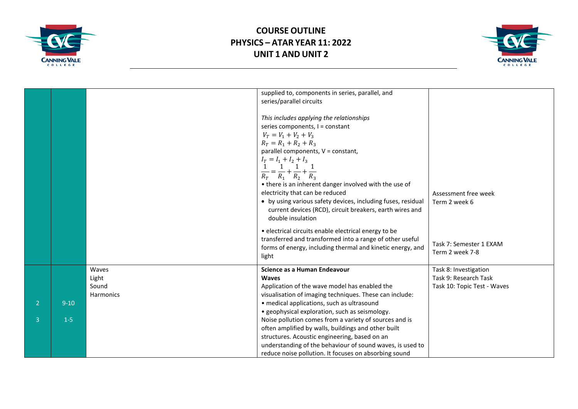



|                                  |                   |                                      | supplied to, components in series, parallel, and<br>series/parallel circuits<br>This includes applying the relationships<br>series components, I = constant<br>$V_T = V_1 + V_2 + V_3$<br>$R_T = R_1 + R_2 + R_3$<br>parallel components, V = constant,<br>$I_T = I_1 + I_2 + I_3$<br>1 1 1<br>$\frac{1}{R_T} = \frac{1}{R_1} + \frac{1}{R_2} + \frac{1}{R_3}$<br>• there is an inherent danger involved with the use of<br>electricity that can be reduced<br>• by using various safety devices, including fuses, residual<br>current devices (RCD), circuit breakers, earth wires and<br>double insulation<br>· electrical circuits enable electrical energy to be<br>transferred and transformed into a range of other useful<br>forms of energy, including thermal and kinetic energy, and<br>light | Assessment free week<br>Term 2 week 6<br>Task 7: Semester 1 EXAM<br>Term 2 week 7-8 |
|----------------------------------|-------------------|--------------------------------------|---------------------------------------------------------------------------------------------------------------------------------------------------------------------------------------------------------------------------------------------------------------------------------------------------------------------------------------------------------------------------------------------------------------------------------------------------------------------------------------------------------------------------------------------------------------------------------------------------------------------------------------------------------------------------------------------------------------------------------------------------------------------------------------------------------|-------------------------------------------------------------------------------------|
| $\overline{2}$<br>$\overline{3}$ | $9 - 10$<br>$1-5$ | Waves<br>Light<br>Sound<br>Harmonics | Science as a Human Endeavour<br><b>Waves</b><br>Application of the wave model has enabled the<br>visualisation of imaging techniques. These can include:<br>• medical applications, such as ultrasound<br>• geophysical exploration, such as seismology.<br>Noise pollution comes from a variety of sources and is<br>often amplified by walls, buildings and other built<br>structures. Acoustic engineering, based on an<br>understanding of the behaviour of sound waves, is used to<br>reduce noise pollution. It focuses on absorbing sound                                                                                                                                                                                                                                                        | Task 8: Investigation<br>Task 9: Research Task<br>Task 10: Topic Test - Waves       |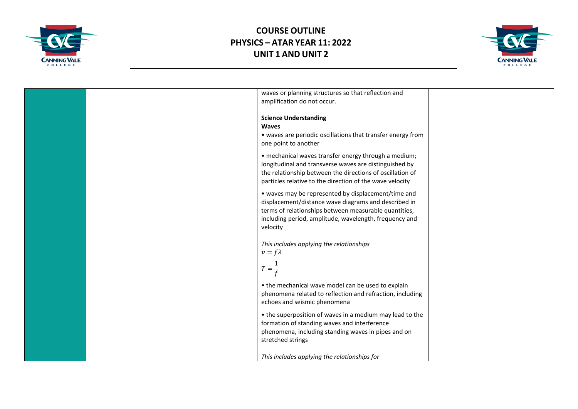



|  | waves or planning structures so that reflection and         |  |
|--|-------------------------------------------------------------|--|
|  |                                                             |  |
|  | amplification do not occur.                                 |  |
|  |                                                             |  |
|  | <b>Science Understanding</b>                                |  |
|  | <b>Waves</b>                                                |  |
|  | • waves are periodic oscillations that transfer energy from |  |
|  | one point to another                                        |  |
|  | • mechanical waves transfer energy through a medium;        |  |
|  | longitudinal and transverse waves are distinguished by      |  |
|  | the relationship between the directions of oscillation of   |  |
|  | particles relative to the direction of the wave velocity    |  |
|  |                                                             |  |
|  | • waves may be represented by displacement/time and         |  |
|  | displacement/distance wave diagrams and described in        |  |
|  | terms of relationships between measurable quantities,       |  |
|  | including period, amplitude, wavelength, frequency and      |  |
|  | velocity                                                    |  |
|  |                                                             |  |
|  | This includes applying the relationships                    |  |
|  | $v = f\lambda$                                              |  |
|  |                                                             |  |
|  | $T=\frac{1}{a}$                                             |  |
|  |                                                             |  |
|  | • the mechanical wave model can be used to explain          |  |
|  | phenomena related to reflection and refraction, including   |  |
|  | echoes and seismic phenomena                                |  |
|  | • the superposition of waves in a medium may lead to the    |  |
|  | formation of standing waves and interference                |  |
|  |                                                             |  |
|  | phenomena, including standing waves in pipes and on         |  |
|  | stretched strings                                           |  |
|  |                                                             |  |
|  | This includes applying the relationships for                |  |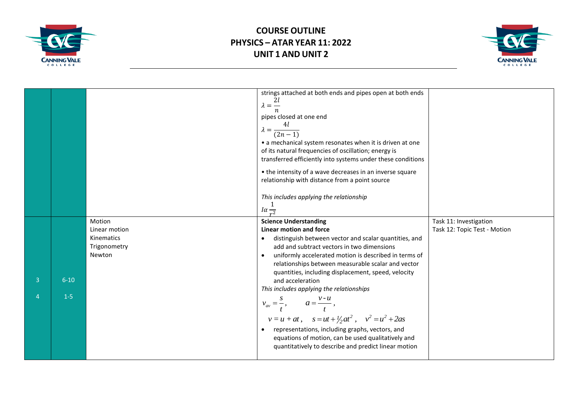



|               |                   |                                                                 | strings attached at both ends and pipes open at both ends<br>$\lambda = \frac{2l}{n}$<br>pipes closed at one end<br>$\lambda = \frac{4l}{(2n-1)}$<br>• a mechanical system resonates when it is driven at one<br>of its natural frequencies of oscillation; energy is<br>transferred efficiently into systems under these conditions<br>• the intensity of a wave decreases in an inverse square<br>relationship with distance from a point source<br>This includes applying the relationship<br>$I\alpha_{\overline{r^2}}$                                                                                                                                                                                                          |                                                        |
|---------------|-------------------|-----------------------------------------------------------------|--------------------------------------------------------------------------------------------------------------------------------------------------------------------------------------------------------------------------------------------------------------------------------------------------------------------------------------------------------------------------------------------------------------------------------------------------------------------------------------------------------------------------------------------------------------------------------------------------------------------------------------------------------------------------------------------------------------------------------------|--------------------------------------------------------|
| 3<br>$\Delta$ | $6 - 10$<br>$1-5$ | Motion<br>Linear motion<br>Kinematics<br>Trigonometry<br>Newton | <b>Science Understanding</b><br>Linear motion and force<br>distinguish between vector and scalar quantities, and<br>$\bullet$<br>add and subtract vectors in two dimensions<br>uniformly accelerated motion is described in terms of<br>$\bullet$<br>relationships between measurable scalar and vector<br>quantities, including displacement, speed, velocity<br>and acceleration<br>This includes applying the relationships<br>$v_{av} = \frac{s}{t}, \qquad a = \frac{v - u}{t},$<br>$v = u + at$ , $s = ut + \frac{1}{2}at^2$ , $v^2 = u^2 + 2as$<br>representations, including graphs, vectors, and<br>$\bullet$<br>equations of motion, can be used qualitatively and<br>quantitatively to describe and predict linear motion | Task 11: Investigation<br>Task 12: Topic Test - Motion |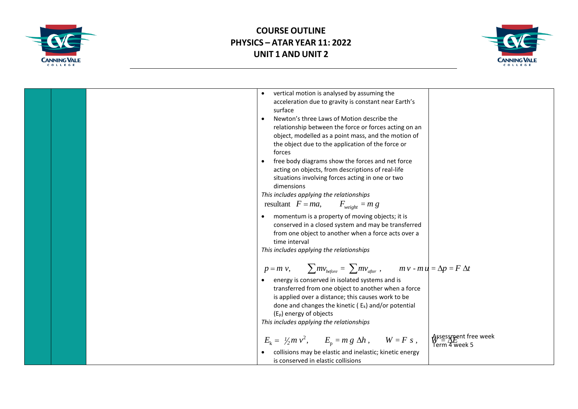



| vertical motion is analysed by assuming the<br>$\bullet$<br>acceleration due to gravity is constant near Earth's<br>surface<br>Newton's three Laws of Motion describe the<br>$\bullet$<br>relationship between the force or forces acting on an<br>object, modelled as a point mass, and the motion of<br>the object due to the application of the force or<br>forces<br>free body diagrams show the forces and net force<br>acting on objects, from descriptions of real-life<br>situations involving forces acting in one or two<br>dimensions<br>This includes applying the relationships<br>resultant $F = ma$ , $F_{weight} = m g$<br>momentum is a property of moving objects; it is<br>$\bullet$<br>conserved in a closed system and may be transferred<br>from one object to another when a force acts over a<br>time interval<br>This includes applying the relationships |                                                         |
|------------------------------------------------------------------------------------------------------------------------------------------------------------------------------------------------------------------------------------------------------------------------------------------------------------------------------------------------------------------------------------------------------------------------------------------------------------------------------------------------------------------------------------------------------------------------------------------------------------------------------------------------------------------------------------------------------------------------------------------------------------------------------------------------------------------------------------------------------------------------------------|---------------------------------------------------------|
| $p = m v$ , $\sum m v_{before} = \sum m v_{after}$ , $m v - m u = \Delta p = F \Delta t$<br>energy is conserved in isolated systems and is<br>transferred from one object to another when a force<br>is applied over a distance; this causes work to be<br>done and changes the kinetic ( $E_k$ ) and/or potential<br>(E <sub>p</sub> ) energy of objects<br>This includes applying the relationships                                                                                                                                                                                                                                                                                                                                                                                                                                                                              |                                                         |
| $E_{\rm k} = V_2 m v^2$ , $E_{\rm p} = m g \Delta h$ , $W = F s$ ,<br>collisions may be elastic and inelastic; kinetic energy<br>is conserved in elastic collisions                                                                                                                                                                                                                                                                                                                                                                                                                                                                                                                                                                                                                                                                                                                | Assessment free week<br>N = $\Delta E$<br>Term 4 week 5 |